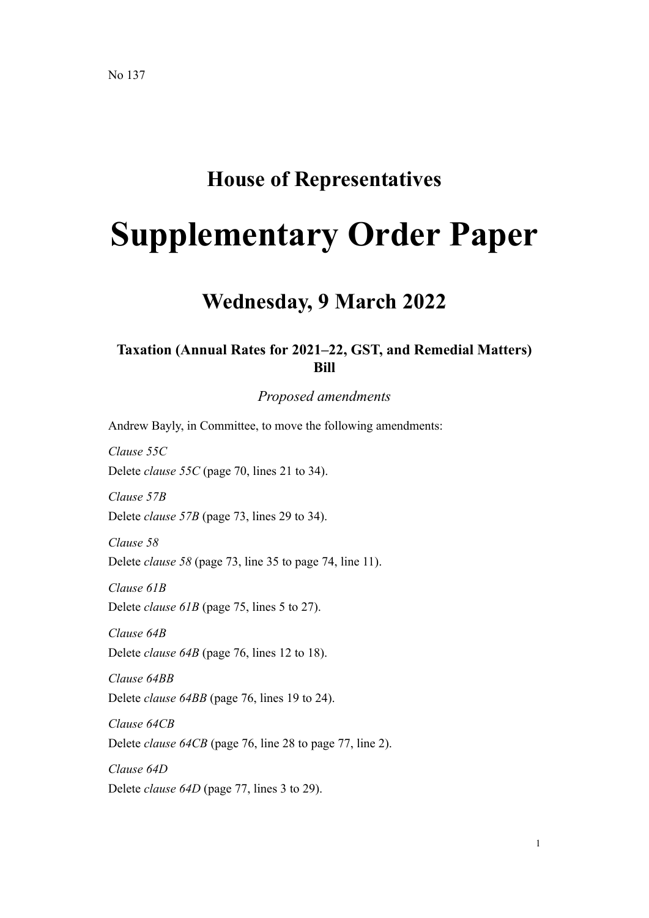### **House of Representatives**

# **Supplementary Order Paper**

## **Wednesday, 9 March 2022**

#### **Taxation (Annual Rates for 2021–22, GST, and Remedial Matters) Bill**

*Proposed amendments*

Andrew Bayly, in Committee, to move the following amendments:

*Clause 55C* Delete *clause 55C* (page 70, lines 21 to 34).

*Clause 57B* Delete *clause 57B* (page 73, lines 29 to 34).

*Clause 58* Delete *clause 58* (page 73, line 35 to page 74, line 11).

*Clause 61B*

Delete *clause* 61B (page 75, lines 5 to 27).

*Clause 64B* Delete *clause 64B* (page 76, lines 12 to 18).

*Clause 64BB* Delete *clause 64BB* (page 76, lines 19 to 24).

*Clause 64CB* Delete *clause 64CB* (page 76, line 28 to page 77, line 2).

*Clause 64D* Delete *clause 64D* (page 77, lines 3 to 29).